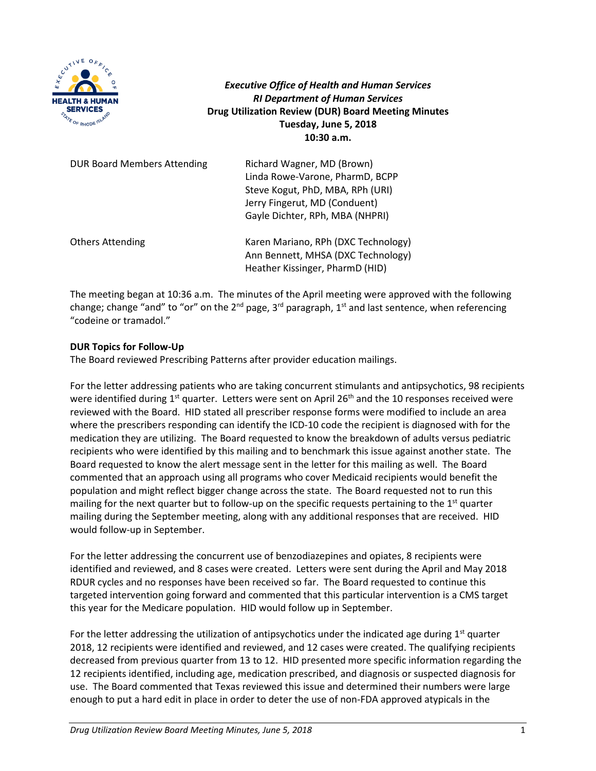

*Executive Office of Health and Human Services RI Department of Human Services* **Drug Utilization Review (DUR) Board Meeting Minutes Tuesday, June 5, 2018 10:30 a.m.**

| <b>DUR Board Members Attending</b> | Richard Wagner, MD (Brown)<br>Linda Rowe-Varone, PharmD, BCPP<br>Steve Kogut, PhD, MBA, RPh (URI)<br>Jerry Fingerut, MD (Conduent)<br>Gayle Dichter, RPh, MBA (NHPRI) |
|------------------------------------|-----------------------------------------------------------------------------------------------------------------------------------------------------------------------|
| <b>Others Attending</b>            | Karen Mariano, RPh (DXC Technology)<br>Ann Bennett, MHSA (DXC Technology)<br>Heather Kissinger, PharmD (HID)                                                          |

The meeting began at 10:36 a.m. The minutes of the April meeting were approved with the following change; change "and" to "or" on the  $2^{nd}$  page,  $3^{rd}$  paragraph,  $1^{st}$  and last sentence, when referencing "codeine or tramadol."

### **DUR Topics for Follow-Up**

The Board reviewed Prescribing Patterns after provider education mailings.

For the letter addressing patients who are taking concurrent stimulants and antipsychotics, 98 recipients were identified during  $1<sup>st</sup>$  quarter. Letters were sent on April 26<sup>th</sup> and the 10 responses received were reviewed with the Board. HID stated all prescriber response forms were modified to include an area where the prescribers responding can identify the ICD-10 code the recipient is diagnosed with for the medication they are utilizing. The Board requested to know the breakdown of adults versus pediatric recipients who were identified by this mailing and to benchmark this issue against another state. The Board requested to know the alert message sent in the letter for this mailing as well. The Board commented that an approach using all programs who cover Medicaid recipients would benefit the population and might reflect bigger change across the state. The Board requested not to run this mailing for the next quarter but to follow-up on the specific requests pertaining to the  $1<sup>st</sup>$  quarter mailing during the September meeting, along with any additional responses that are received. HID would follow-up in September.

For the letter addressing the concurrent use of benzodiazepines and opiates, 8 recipients were identified and reviewed, and 8 cases were created. Letters were sent during the April and May 2018 RDUR cycles and no responses have been received so far. The Board requested to continue this targeted intervention going forward and commented that this particular intervention is a CMS target this year for the Medicare population. HID would follow up in September.

For the letter addressing the utilization of antipsychotics under the indicated age during  $1<sup>st</sup>$  quarter 2018, 12 recipients were identified and reviewed, and 12 cases were created. The qualifying recipients decreased from previous quarter from 13 to 12. HID presented more specific information regarding the 12 recipients identified, including age, medication prescribed, and diagnosis or suspected diagnosis for use. The Board commented that Texas reviewed this issue and determined their numbers were large enough to put a hard edit in place in order to deter the use of non-FDA approved atypicals in the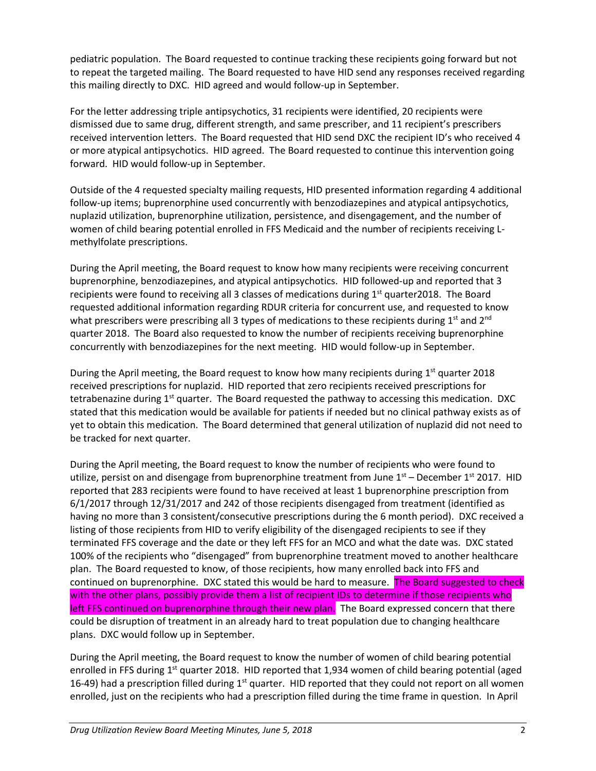pediatric population. The Board requested to continue tracking these recipients going forward but not to repeat the targeted mailing. The Board requested to have HID send any responses received regarding this mailing directly to DXC. HID agreed and would follow-up in September.

For the letter addressing triple antipsychotics, 31 recipients were identified, 20 recipients were dismissed due to same drug, different strength, and same prescriber, and 11 recipient's prescribers received intervention letters. The Board requested that HID send DXC the recipient ID's who received 4 or more atypical antipsychotics. HID agreed. The Board requested to continue this intervention going forward. HID would follow-up in September.

Outside of the 4 requested specialty mailing requests, HID presented information regarding 4 additional follow-up items; buprenorphine used concurrently with benzodiazepines and atypical antipsychotics, nuplazid utilization, buprenorphine utilization, persistence, and disengagement, and the number of women of child bearing potential enrolled in FFS Medicaid and the number of recipients receiving Lmethylfolate prescriptions.

During the April meeting, the Board request to know how many recipients were receiving concurrent buprenorphine, benzodiazepines, and atypical antipsychotics. HID followed-up and reported that 3 recipients were found to receiving all 3 classes of medications during  $1<sup>st</sup>$  quarter2018. The Board requested additional information regarding RDUR criteria for concurrent use, and requested to know what prescribers were prescribing all 3 types of medications to these recipients during  $1<sup>st</sup>$  and  $2<sup>nd</sup>$ quarter 2018. The Board also requested to know the number of recipients receiving buprenorphine concurrently with benzodiazepines for the next meeting. HID would follow-up in September.

During the April meeting, the Board request to know how many recipients during  $1<sup>st</sup>$  quarter 2018 received prescriptions for nuplazid. HID reported that zero recipients received prescriptions for tetrabenazine during 1<sup>st</sup> quarter. The Board requested the pathway to accessing this medication. DXC stated that this medication would be available for patients if needed but no clinical pathway exists as of yet to obtain this medication. The Board determined that general utilization of nuplazid did not need to be tracked for next quarter.

During the April meeting, the Board request to know the number of recipients who were found to utilize, persist on and disengage from buprenorphine treatment from June  $1<sup>st</sup>$  – December  $1<sup>st</sup>$  2017. HID reported that 283 recipients were found to have received at least 1 buprenorphine prescription from 6/1/2017 through 12/31/2017 and 242 of those recipients disengaged from treatment (identified as having no more than 3 consistent/consecutive prescriptions during the 6 month period). DXC received a listing of those recipients from HID to verify eligibility of the disengaged recipients to see if they terminated FFS coverage and the date or they left FFS for an MCO and what the date was. DXC stated 100% of the recipients who "disengaged" from buprenorphine treatment moved to another healthcare plan. The Board requested to know, of those recipients, how many enrolled back into FFS and continued on buprenorphine. DXC stated this would be hard to measure. The Board suggested to check with the other plans, possibly provide them a list of recipient IDs to determine if those recipients who left FFS continued on buprenorphine through their new plan. The Board expressed concern that there could be disruption of treatment in an already hard to treat population due to changing healthcare plans. DXC would follow up in September.

During the April meeting, the Board request to know the number of women of child bearing potential enrolled in FFS during 1<sup>st</sup> quarter 2018. HID reported that 1,934 women of child bearing potential (aged 16-49) had a prescription filled during 1<sup>st</sup> quarter. HID reported that they could not report on all women enrolled, just on the recipients who had a prescription filled during the time frame in question. In April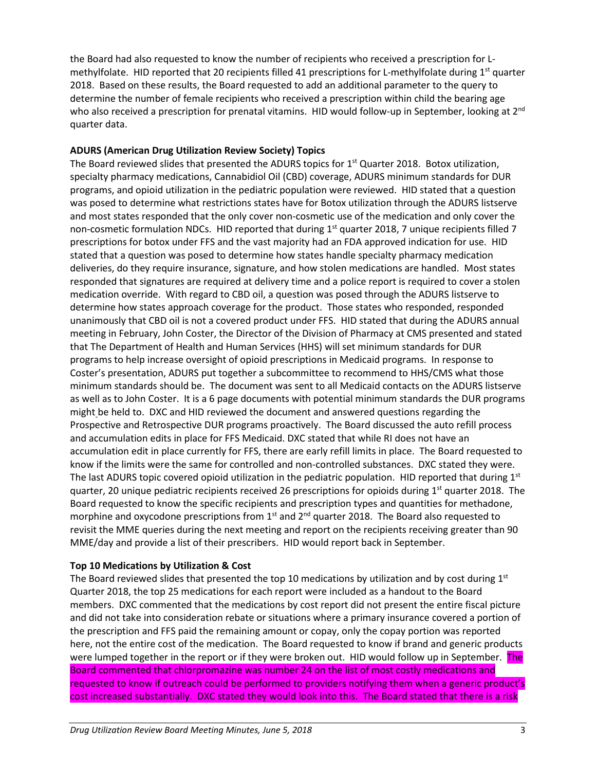the Board had also requested to know the number of recipients who received a prescription for Lmethylfolate. HID reported that 20 recipients filled 41 prescriptions for L-methylfolate during 1<sup>st</sup> quarter 2018. Based on these results, the Board requested to add an additional parameter to the query to determine the number of female recipients who received a prescription within child the bearing age who also received a prescription for prenatal vitamins. HID would follow-up in September, looking at 2<sup>nd</sup> quarter data.

# **ADURS (American Drug Utilization Review Society) Topics**

The Board reviewed slides that presented the ADURS topics for  $1<sup>st</sup>$  Quarter 2018. Botox utilization, specialty pharmacy medications, Cannabidiol Oil (CBD) coverage, ADURS minimum standards for DUR programs, and opioid utilization in the pediatric population were reviewed. HID stated that a question was posed to determine what restrictions states have for Botox utilization through the ADURS listserve and most states responded that the only cover non-cosmetic use of the medication and only cover the non-cosmetic formulation NDCs. HID reported that during  $1<sup>st</sup>$  quarter 2018, 7 unique recipients filled 7 prescriptions for botox under FFS and the vast majority had an FDA approved indication for use. HID stated that a question was posed to determine how states handle specialty pharmacy medication deliveries, do they require insurance, signature, and how stolen medications are handled. Most states responded that signatures are required at delivery time and a police report is required to cover a stolen medication override. With regard to CBD oil, a question was posed through the ADURS listserve to determine how states approach coverage for the product. Those states who responded, responded unanimously that CBD oil is not a covered product under FFS. HID stated that during the ADURS annual meeting in February, John Coster, the Director of the Division of Pharmacy at CMS presented and stated that The Department of Health and Human Services (HHS) will set minimum standards for DUR programs to help increase oversight of opioid prescriptions in Medicaid programs. In response to Coster's presentation, ADURS put together a subcommittee to recommend to HHS/CMS what those minimum standards should be. The document was sent to all Medicaid contacts on the ADURS listserve as well as to John Coster. It is a 6 page documents with potential minimum standards the DUR programs might be held to. DXC and HID reviewed the document and answered questions regarding the Prospective and Retrospective DUR programs proactively. The Board discussed the auto refill process and accumulation edits in place for FFS Medicaid. DXC stated that while RI does not have an accumulation edit in place currently for FFS, there are early refill limits in place. The Board requested to know if the limits were the same for controlled and non-controlled substances. DXC stated they were. The last ADURS topic covered opioid utilization in the pediatric population. HID reported that during  $1<sup>st</sup>$ quarter, 20 unique pediatric recipients received 26 prescriptions for opioids during  $1<sup>st</sup>$  quarter 2018. The Board requested to know the specific recipients and prescription types and quantities for methadone, morphine and oxycodone prescriptions from  $1<sup>st</sup>$  and  $2<sup>nd</sup>$  quarter 2018. The Board also requested to revisit the MME queries during the next meeting and report on the recipients receiving greater than 90 MME/day and provide a list of their prescribers. HID would report back in September.

# **Top 10 Medications by Utilization & Cost**

The Board reviewed slides that presented the top 10 medications by utilization and by cost during  $1<sup>st</sup>$ Quarter 2018, the top 25 medications for each report were included as a handout to the Board members. DXC commented that the medications by cost report did not present the entire fiscal picture and did not take into consideration rebate or situations where a primary insurance covered a portion of the prescription and FFS paid the remaining amount or copay, only the copay portion was reported here, not the entire cost of the medication. The Board requested to know if brand and generic products were lumped together in the report or if they were broken out. HID would follow up in September. The Board commented that chlorpromazine was number 24 on the list of most costly medications and requested to know if outreach could be performed to providers notifying them when a generic product's cost increased substantially. DXC stated they would look into this. The Board stated that there is a risk